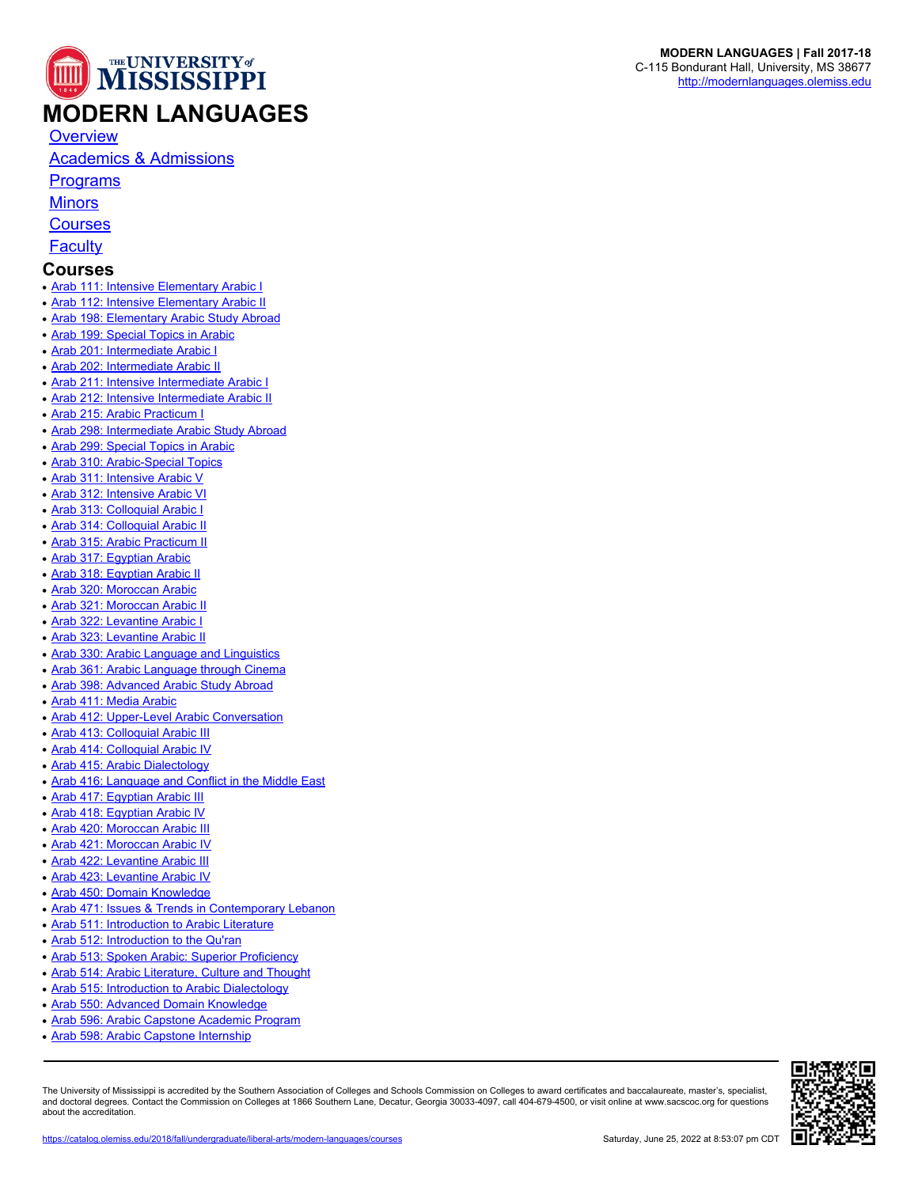

[Academics & Admissions](https://catalog.olemiss.edu/2018/fall/liberal-arts/modern-languages/academics)

**[Programs](https://catalog.olemiss.edu/2018/fall/liberal-arts/modern-languages/programs)** 

**[Minors](https://catalog.olemiss.edu/2018/fall/liberal-arts/modern-languages/minors)** 

**[Courses](https://catalog.olemiss.edu/2018/fall/liberal-arts/modern-languages/courses)** 

**[Faculty](https://catalog.olemiss.edu/2018/fall/liberal-arts/modern-languages/faculty)** 

## **Courses**

- [Arab 111: Intensive Elementary Arabic I](https://catalog.olemiss.edu/2018/fall/liberal-arts/modern-languages/arab-111)
- **[Arab 112: Intensive Elementary Arabic II](https://catalog.olemiss.edu/2018/fall/liberal-arts/modern-languages/arab-112)**
- [Arab 198: Elementary Arabic Study Abroad](https://catalog.olemiss.edu/2018/fall/liberal-arts/modern-languages/arab-198)
- [Arab 199: Special Topics in Arabic](https://catalog.olemiss.edu/2018/fall/liberal-arts/modern-languages/arab-199)
- [Arab 201: Intermediate Arabic I](https://catalog.olemiss.edu/2018/fall/liberal-arts/modern-languages/arab-201)
- [Arab 202: Intermediate Arabic II](https://catalog.olemiss.edu/2018/fall/liberal-arts/modern-languages/arab-202)
- [Arab 211: Intensive Intermediate Arabic I](https://catalog.olemiss.edu/2018/fall/liberal-arts/modern-languages/arab-211)
- [Arab 212: Intensive Intermediate Arabic II](https://catalog.olemiss.edu/2018/fall/liberal-arts/modern-languages/arab-212)
- [Arab 215: Arabic Practicum I](https://catalog.olemiss.edu/2018/fall/liberal-arts/modern-languages/arab-215)
- [Arab 298: Intermediate Arabic Study Abroad](https://catalog.olemiss.edu/2018/fall/liberal-arts/modern-languages/arab-298)
- [Arab 299: Special Topics in Arabic](https://catalog.olemiss.edu/2018/fall/liberal-arts/modern-languages/arab-299)
- [Arab 310: Arabic-Special Topics](https://catalog.olemiss.edu/2018/fall/liberal-arts/modern-languages/arab-310)
- [Arab 311: Intensive Arabic V](https://catalog.olemiss.edu/2018/fall/liberal-arts/modern-languages/arab-311)
- [Arab 312: Intensive Arabic VI](https://catalog.olemiss.edu/2018/fall/liberal-arts/modern-languages/arab-312)
- [Arab 313: Colloquial Arabic I](https://catalog.olemiss.edu/2018/fall/liberal-arts/modern-languages/arab-313)
- [Arab 314: Colloquial Arabic II](https://catalog.olemiss.edu/2018/fall/liberal-arts/modern-languages/arab-314)
- [Arab 315: Arabic Practicum II](https://catalog.olemiss.edu/2018/fall/liberal-arts/modern-languages/arab-315)
- [Arab 317: Egyptian Arabic](https://catalog.olemiss.edu/2018/fall/liberal-arts/modern-languages/arab-317)
- [Arab 318: Egyptian Arabic II](https://catalog.olemiss.edu/2018/fall/liberal-arts/modern-languages/arab-318)
- [Arab 320: Moroccan Arabic](https://catalog.olemiss.edu/2018/fall/liberal-arts/modern-languages/arab-320)
- [Arab 321: Moroccan Arabic II](https://catalog.olemiss.edu/2018/fall/liberal-arts/modern-languages/arab-321)
- [Arab 322: Levantine Arabic I](https://catalog.olemiss.edu/2018/fall/liberal-arts/modern-languages/arab-322)
- [Arab 323: Levantine Arabic II](https://catalog.olemiss.edu/2018/fall/liberal-arts/modern-languages/arab-323)
- [Arab 330: Arabic Language and Linguistics](https://catalog.olemiss.edu/2018/fall/liberal-arts/modern-languages/arab-330)
- [Arab 361: Arabic Language through Cinema](https://catalog.olemiss.edu/2018/fall/liberal-arts/modern-languages/arab-361)
- [Arab 398: Advanced Arabic Study Abroad](https://catalog.olemiss.edu/2018/fall/liberal-arts/modern-languages/arab-398)
- [Arab 411: Media Arabic](https://catalog.olemiss.edu/2018/fall/liberal-arts/modern-languages/arab-411)
- [Arab 412: Upper-Level Arabic Conversation](https://catalog.olemiss.edu/2018/fall/liberal-arts/modern-languages/arab-412)
- [Arab 413: Colloquial Arabic III](https://catalog.olemiss.edu/2018/fall/liberal-arts/modern-languages/arab-413)
- [Arab 414: Colloquial Arabic IV](https://catalog.olemiss.edu/2018/fall/liberal-arts/modern-languages/arab-414)
- [Arab 415: Arabic Dialectology](https://catalog.olemiss.edu/2018/fall/liberal-arts/modern-languages/arab-415)
- [Arab 416: Language and Conflict in the Middle East](https://catalog.olemiss.edu/2018/fall/liberal-arts/modern-languages/arab-416)
- [Arab 417: Egyptian Arabic III](https://catalog.olemiss.edu/2018/fall/liberal-arts/modern-languages/arab-417)
- [Arab 418: Egyptian Arabic IV](https://catalog.olemiss.edu/2018/fall/liberal-arts/modern-languages/arab-418)
- [Arab 420: Moroccan Arabic III](https://catalog.olemiss.edu/2018/fall/liberal-arts/modern-languages/arab-420)
- [Arab 421: Moroccan Arabic IV](https://catalog.olemiss.edu/2018/fall/liberal-arts/modern-languages/arab-421)
- [Arab 422: Levantine Arabic III](https://catalog.olemiss.edu/2018/fall/liberal-arts/modern-languages/arab-422)
- [Arab 423: Levantine Arabic IV](https://catalog.olemiss.edu/2018/fall/liberal-arts/modern-languages/arab-423)
- [Arab 450: Domain Knowledge](https://catalog.olemiss.edu/2018/fall/liberal-arts/modern-languages/arab-450)
- [Arab 471: Issues & Trends in Contemporary Lebanon](https://catalog.olemiss.edu/2018/fall/liberal-arts/modern-languages/arab-471)
- [Arab 511: Introduction to Arabic Literature](https://catalog.olemiss.edu/2018/fall/liberal-arts/modern-languages/arab-511)
- [Arab 512: Introduction to the Qu'ran](https://catalog.olemiss.edu/2018/fall/liberal-arts/modern-languages/arab-512)
- [Arab 513: Spoken Arabic: Superior Proficiency](https://catalog.olemiss.edu/2018/fall/liberal-arts/modern-languages/arab-513)
- [Arab 514: Arabic Literature, Culture and Thought](https://catalog.olemiss.edu/2018/fall/liberal-arts/modern-languages/arab-514)
- [Arab 515: Introduction to Arabic Dialectology](https://catalog.olemiss.edu/2018/fall/liberal-arts/modern-languages/arab-515)
- [Arab 550: Advanced Domain Knowledge](https://catalog.olemiss.edu/2018/fall/liberal-arts/modern-languages/arab-550)
- [Arab 596: Arabic Capstone Academic Program](https://catalog.olemiss.edu/2018/fall/liberal-arts/modern-languages/arab-596)
- **[Arab 598: Arabic Capstone Internship](https://catalog.olemiss.edu/2018/fall/liberal-arts/modern-languages/arab-598)**

The University of Mississippi is accredited by the Southern Association of Colleges and Schools Commission on Colleges to award certificates and baccalaureate, master's, specialist, and doctoral degrees. Contact the Commission on Colleges at 1866 Southern Lane, Decatur, Georgia 30033-4097, call 404-679-4500, or visit online at www.sacscoc.org for questions about the accreditation.



**MODERN LANGUAGES | Fall 2017-18** C-115 Bondurant Hall, University, MS 38677 <http://modernlanguages.olemiss.edu>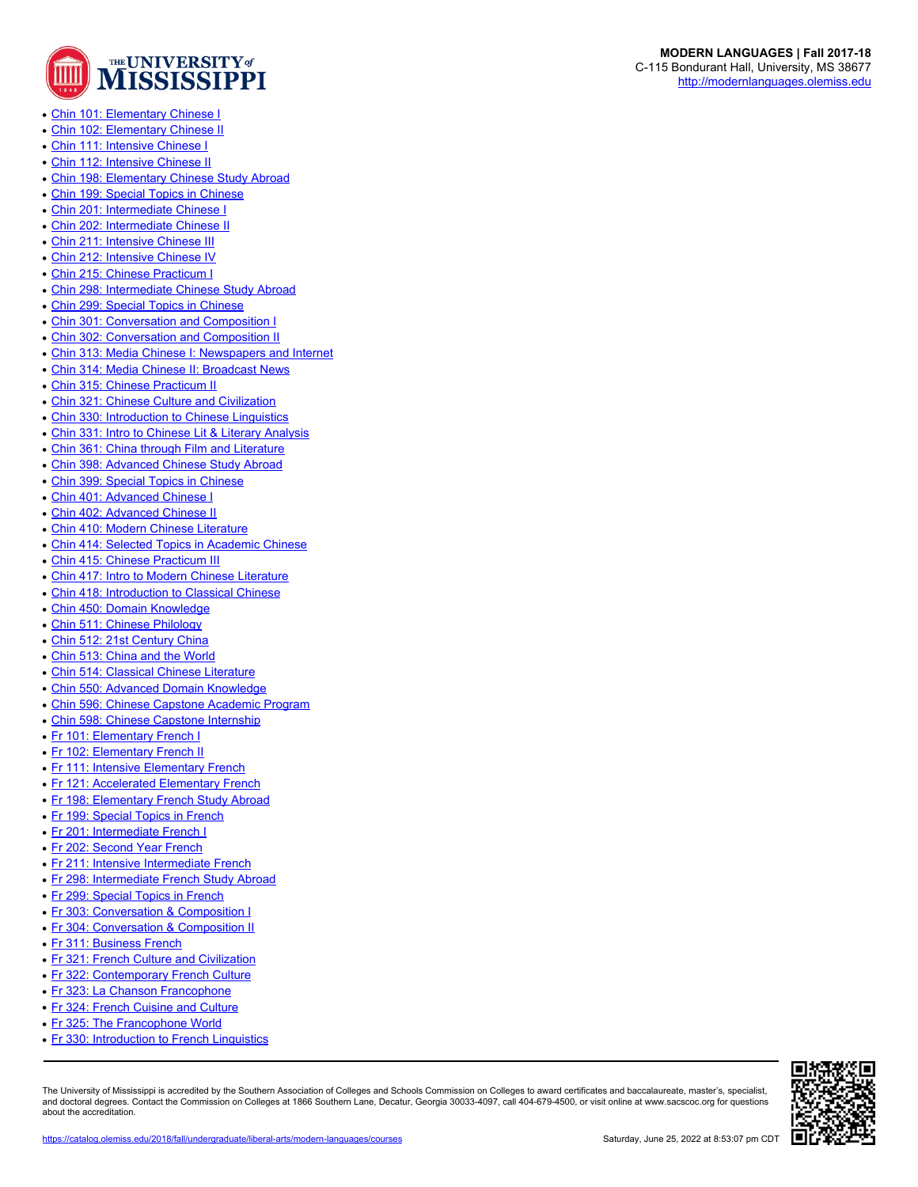

- [Chin 101: Elementary Chinese I](https://catalog.olemiss.edu/2018/fall/liberal-arts/modern-languages/chin-101)
- [Chin 102: Elementary Chinese II](https://catalog.olemiss.edu/2018/fall/liberal-arts/modern-languages/chin-102)
- [Chin 111: Intensive Chinese I](https://catalog.olemiss.edu/2018/fall/liberal-arts/modern-languages/chin-111)
- [Chin 112: Intensive Chinese II](https://catalog.olemiss.edu/2018/fall/liberal-arts/modern-languages/chin-112)
- [Chin 198: Elementary Chinese Study Abroad](https://catalog.olemiss.edu/2018/fall/liberal-arts/modern-languages/chin-198)
- [Chin 199: Special Topics in Chinese](https://catalog.olemiss.edu/2018/fall/liberal-arts/modern-languages/chin-199)
- [Chin 201: Intermediate Chinese I](https://catalog.olemiss.edu/2018/fall/liberal-arts/modern-languages/chin-201)
- [Chin 202: Intermediate Chinese II](https://catalog.olemiss.edu/2018/fall/liberal-arts/modern-languages/chin-202)
- [Chin 211: Intensive Chinese III](https://catalog.olemiss.edu/2018/fall/liberal-arts/modern-languages/chin-211)
- [Chin 212: Intensive Chinese IV](https://catalog.olemiss.edu/2018/fall/liberal-arts/modern-languages/chin-212)
- [Chin 215: Chinese Practicum I](https://catalog.olemiss.edu/2018/fall/liberal-arts/modern-languages/chin-215)
- [Chin 298: Intermediate Chinese Study Abroad](https://catalog.olemiss.edu/2018/fall/liberal-arts/modern-languages/chin-298)
- [Chin 299: Special Topics in Chinese](https://catalog.olemiss.edu/2018/fall/liberal-arts/modern-languages/chin-299)
- [Chin 301: Conversation and Composition I](https://catalog.olemiss.edu/2018/fall/liberal-arts/modern-languages/chin-301)
- [Chin 302: Conversation and Composition II](https://catalog.olemiss.edu/2018/fall/liberal-arts/modern-languages/chin-302)
- [Chin 313: Media Chinese I: Newspapers and Internet](https://catalog.olemiss.edu/2018/fall/liberal-arts/modern-languages/chin-313)
- [Chin 314: Media Chinese II: Broadcast News](https://catalog.olemiss.edu/2018/fall/liberal-arts/modern-languages/chin-314)
- [Chin 315: Chinese Practicum II](https://catalog.olemiss.edu/2018/fall/liberal-arts/modern-languages/chin-315)
- [Chin 321: Chinese Culture and Civilization](https://catalog.olemiss.edu/2018/fall/liberal-arts/modern-languages/chin-321)
- [Chin 330: Introduction to Chinese Linguistics](https://catalog.olemiss.edu/2018/fall/liberal-arts/modern-languages/chin-330)
- [Chin 331: Intro to Chinese Lit & Literary Analysis](https://catalog.olemiss.edu/2018/fall/liberal-arts/modern-languages/chin-331)
- [Chin 361: China through Film and Literature](https://catalog.olemiss.edu/2018/fall/liberal-arts/modern-languages/chin-361)
- [Chin 398: Advanced Chinese Study Abroad](https://catalog.olemiss.edu/2018/fall/liberal-arts/modern-languages/chin-398)
- [Chin 399: Special Topics in Chinese](https://catalog.olemiss.edu/2018/fall/liberal-arts/modern-languages/chin-399)
- [Chin 401: Advanced Chinese I](https://catalog.olemiss.edu/2018/fall/liberal-arts/modern-languages/chin-401)
- [Chin 402: Advanced Chinese II](https://catalog.olemiss.edu/2018/fall/liberal-arts/modern-languages/chin-402)
- [Chin 410: Modern Chinese Literature](https://catalog.olemiss.edu/2018/fall/liberal-arts/modern-languages/chin-410)
- 
- [Chin 415: Chinese Practicum III](https://catalog.olemiss.edu/2018/fall/liberal-arts/modern-languages/chin-415)
- [Chin 417: Intro to Modern Chinese Literature](https://catalog.olemiss.edu/2018/fall/liberal-arts/modern-languages/chin-417)
- [Chin 418: Introduction to Classical Chinese](https://catalog.olemiss.edu/2018/fall/liberal-arts/modern-languages/chin-418)
- [Chin 450: Domain Knowledge](https://catalog.olemiss.edu/2018/fall/liberal-arts/modern-languages/chin-450)
- [Chin 511: Chinese Philology](https://catalog.olemiss.edu/2018/fall/liberal-arts/modern-languages/chin-511)
- [Chin 512: 21st Century China](https://catalog.olemiss.edu/2018/fall/liberal-arts/modern-languages/chin-512)
- [Chin 514: Classical Chinese Literature](https://catalog.olemiss.edu/2018/fall/liberal-arts/modern-languages/chin-514)
- [Chin 550: Advanced Domain Knowledge](https://catalog.olemiss.edu/2018/fall/liberal-arts/modern-languages/chin-550)
- [Chin 596: Chinese Capstone Academic Program](https://catalog.olemiss.edu/2018/fall/liberal-arts/modern-languages/chin-596)
- 
- 
- [Fr 111: Intensive Elementary French](https://catalog.olemiss.edu/2018/fall/liberal-arts/modern-languages/fr-111)
- 
- 
- 
- 
- 
- 
- 
- 
- 
- 
- 

about the accreditation.

- 
- [Fr 322: Contemporary French Culture](https://catalog.olemiss.edu/2018/fall/liberal-arts/modern-languages/fr-322)
- 
- [Fr 324: French Cuisine and Culture](https://catalog.olemiss.edu/2018/fall/liberal-arts/modern-languages/fr-324)
- [Fr 325: The Francophone World](https://catalog.olemiss.edu/2018/fall/liberal-arts/modern-languages/fr-325)
- [Fr 330: Introduction to French Linguistics](https://catalog.olemiss.edu/2018/fall/liberal-arts/modern-languages/fr-330)

The University of Mississippi is accredited by the Southern Association of Colleges and Schools Commission on Colleges to award certificates and baccalaureate, master's, specialist, and doctoral degrees. Contact the Commission on Colleges at 1866 Southern Lane, Decatur, Georgia 30033-4097, call 404-679-4500, or visit online at www.sacscoc.org for questions

<https://catalog.olemiss.edu/2018/fall/undergraduate/liberal-arts/modern-languages/courses> Saturday, June 25, 2022 at 8:53:07 pm CDT

**MODERN LANGUAGES | Fall 2017-18** C-115 Bondurant Hall, University, MS 38677 <http://modernlanguages.olemiss.edu>

- 
- 
- 
- 
- 
- 
- 
- 
- 
- 
- [Chin 414: Selected Topics in Academic Chinese](https://catalog.olemiss.edu/2018/fall/liberal-arts/modern-languages/chin-414)
- 
- 
- 
- 
- 
- 
- [Chin 513: China and the World](https://catalog.olemiss.edu/2018/fall/liberal-arts/modern-languages/chin-513)
- 
- 
- 
- [Chin 598: Chinese Capstone Internship](https://catalog.olemiss.edu/2018/fall/liberal-arts/modern-languages/chin-598)
- [Fr 101: Elementary French I](https://catalog.olemiss.edu/2018/fall/liberal-arts/modern-languages/fr-101)
- [Fr 102: Elementary French II](https://catalog.olemiss.edu/2018/fall/liberal-arts/modern-languages/fr-102)
- [Fr 121: Accelerated Elementary French](https://catalog.olemiss.edu/2018/fall/liberal-arts/modern-languages/fr-121)
- [Fr 198: Elementary French Study Abroad](https://catalog.olemiss.edu/2018/fall/liberal-arts/modern-languages/fr-198)
- [Fr 199: Special Topics in French](https://catalog.olemiss.edu/2018/fall/liberal-arts/modern-languages/fr-199)
- [Fr 201: Intermediate French I](https://catalog.olemiss.edu/2018/fall/liberal-arts/modern-languages/fr-201)
- [Fr 202: Second Year French](https://catalog.olemiss.edu/2018/fall/liberal-arts/modern-languages/fr-202)
- [Fr 211: Intensive Intermediate French](https://catalog.olemiss.edu/2018/fall/liberal-arts/modern-languages/fr-211)
- [Fr 298: Intermediate French Study Abroad](https://catalog.olemiss.edu/2018/fall/liberal-arts/modern-languages/fr-298)
- [Fr 299: Special Topics in French](https://catalog.olemiss.edu/2018/fall/liberal-arts/modern-languages/fr-299)
- [Fr 303: Conversation & Composition I](https://catalog.olemiss.edu/2018/fall/liberal-arts/modern-languages/fr-303)
- [Fr 304: Conversation & Composition II](https://catalog.olemiss.edu/2018/fall/liberal-arts/modern-languages/fr-304)
- [Fr 311: Business French](https://catalog.olemiss.edu/2018/fall/liberal-arts/modern-languages/fr-311)
- [Fr 321: French Culture and Civilization](https://catalog.olemiss.edu/2018/fall/liberal-arts/modern-languages/fr-321)
- 
- [Fr 323: La Chanson Francophone](https://catalog.olemiss.edu/2018/fall/liberal-arts/modern-languages/fr-323)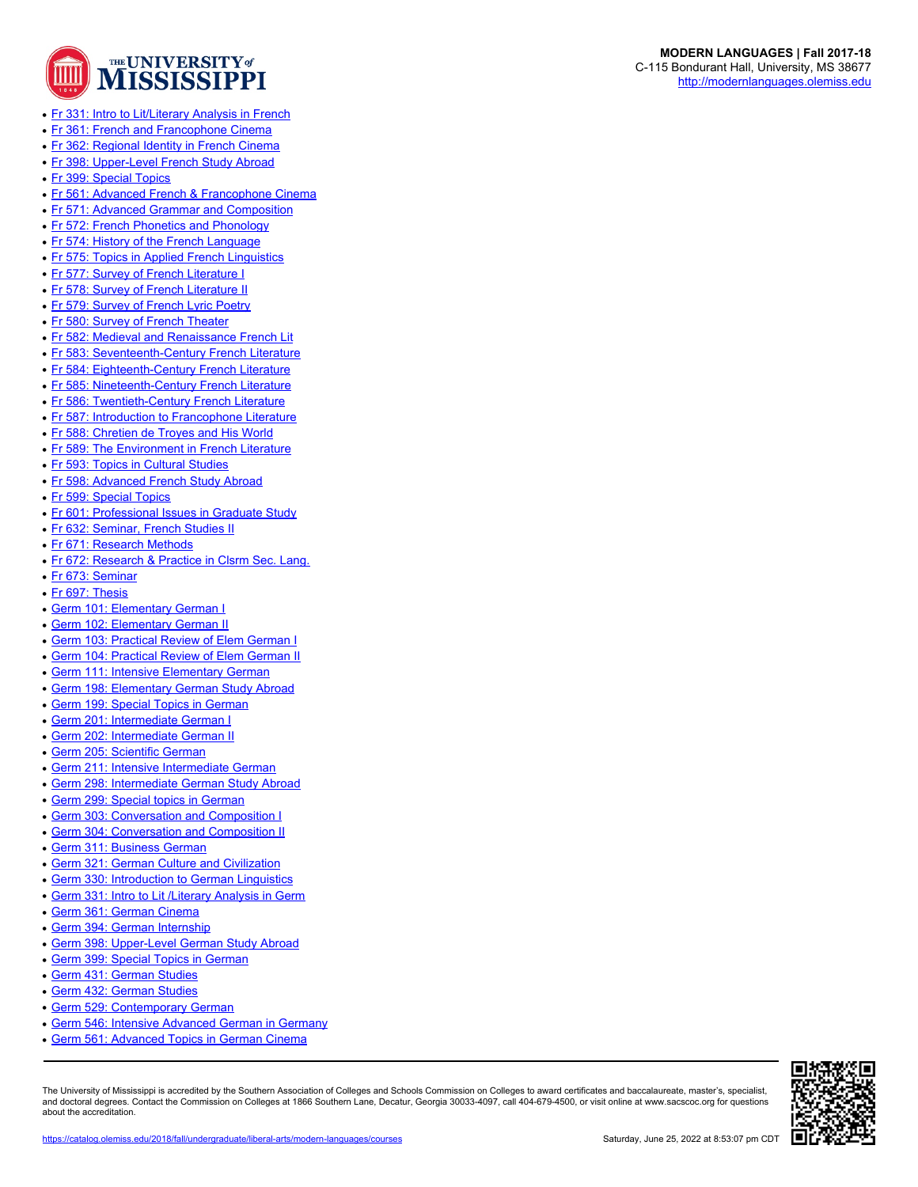

- [Fr 331: Intro to Lit/Literary Analysis in French](https://catalog.olemiss.edu/2018/fall/liberal-arts/modern-languages/fr-331)
- [Fr 361: French and Francophone Cinema](https://catalog.olemiss.edu/2018/fall/liberal-arts/modern-languages/fr-361)
- [Fr 362: Regional Identity in French Cinema](https://catalog.olemiss.edu/2018/fall/liberal-arts/modern-languages/fr-362)
- [Fr 398: Upper-Level French Study Abroad](https://catalog.olemiss.edu/2018/fall/liberal-arts/modern-languages/fr-398)
- [Fr 399: Special Topics](https://catalog.olemiss.edu/2018/fall/liberal-arts/modern-languages/fr-399)
- [Fr 561: Advanced French & Francophone Cinema](https://catalog.olemiss.edu/2018/fall/liberal-arts/modern-languages/fr-561)
- [Fr 571: Advanced Grammar and Composition](https://catalog.olemiss.edu/2018/fall/liberal-arts/modern-languages/fr-571)
- [Fr 572: French Phonetics and Phonology](https://catalog.olemiss.edu/2018/fall/liberal-arts/modern-languages/fr-572)
- [Fr 574: History of the French Language](https://catalog.olemiss.edu/2018/fall/liberal-arts/modern-languages/fr-574)
- [Fr 575: Topics in Applied French Linguistics](https://catalog.olemiss.edu/2018/fall/liberal-arts/modern-languages/fr-575)
- [Fr 577: Survey of French Literature I](https://catalog.olemiss.edu/2018/fall/liberal-arts/modern-languages/fr-577)
- [Fr 578: Survey of French Literature II](https://catalog.olemiss.edu/2018/fall/liberal-arts/modern-languages/fr-578)
- [Fr 579: Survey of French Lyric Poetry](https://catalog.olemiss.edu/2018/fall/liberal-arts/modern-languages/fr-579)
- [Fr 580: Survey of French Theater](https://catalog.olemiss.edu/2018/fall/liberal-arts/modern-languages/fr-580)
- [Fr 582: Medieval and Renaissance French Lit](https://catalog.olemiss.edu/2018/fall/liberal-arts/modern-languages/fr-582)
- [Fr 583: Seventeenth-Century French Literature](https://catalog.olemiss.edu/2018/fall/liberal-arts/modern-languages/fr-583)
- [Fr 584: Eighteenth-Century French Literature](https://catalog.olemiss.edu/2018/fall/liberal-arts/modern-languages/fr-584)
- [Fr 585: Nineteenth-Century French Literature](https://catalog.olemiss.edu/2018/fall/liberal-arts/modern-languages/fr-585)
- [Fr 586: Twentieth-Century French Literature](https://catalog.olemiss.edu/2018/fall/liberal-arts/modern-languages/fr-586)
- [Fr 587: Introduction to Francophone Literature](https://catalog.olemiss.edu/2018/fall/liberal-arts/modern-languages/fr-587)
- [Fr 588: Chretien de Troyes and His World](https://catalog.olemiss.edu/2018/fall/liberal-arts/modern-languages/fr-588)
- [Fr 589: The Environment in French Literature](https://catalog.olemiss.edu/2018/fall/liberal-arts/modern-languages/fr-589)
- [Fr 593: Topics in Cultural Studies](https://catalog.olemiss.edu/2018/fall/liberal-arts/modern-languages/fr-593)
- [Fr 598: Advanced French Study Abroad](https://catalog.olemiss.edu/2018/fall/liberal-arts/modern-languages/fr-598)
- [Fr 599: Special Topics](https://catalog.olemiss.edu/2018/fall/liberal-arts/modern-languages/fr-599)
- [Fr 601: Professional Issues in Graduate Study](https://catalog.olemiss.edu/2018/fall/liberal-arts/modern-languages/fr-601)
- [Fr 632: Seminar, French Studies II](https://catalog.olemiss.edu/2018/fall/liberal-arts/modern-languages/fr-632)
- [Fr 671: Research Methods](https://catalog.olemiss.edu/2018/fall/liberal-arts/modern-languages/fr-671)
- [Fr 672: Research & Practice in Clsrm Sec. Lang.](https://catalog.olemiss.edu/2018/fall/liberal-arts/modern-languages/fr-672)
- [Fr 673: Seminar](https://catalog.olemiss.edu/2018/fall/liberal-arts/modern-languages/fr-673)
- [Fr 697: Thesis](https://catalog.olemiss.edu/2018/fall/liberal-arts/modern-languages/fr-697)
- [Germ 101: Elementary German I](https://catalog.olemiss.edu/2018/fall/liberal-arts/modern-languages/germ-101)
- [Germ 102: Elementary German II](https://catalog.olemiss.edu/2018/fall/liberal-arts/modern-languages/germ-102)
- [Germ 103: Practical Review of Elem German I](https://catalog.olemiss.edu/2018/fall/liberal-arts/modern-languages/germ-103)
- [Germ 104: Practical Review of Elem German II](https://catalog.olemiss.edu/2018/fall/liberal-arts/modern-languages/germ-104)
- [Germ 111: Intensive Elementary German](https://catalog.olemiss.edu/2018/fall/liberal-arts/modern-languages/germ-111)
- [Germ 198: Elementary German Study Abroad](https://catalog.olemiss.edu/2018/fall/liberal-arts/modern-languages/germ-198)
- [Germ 199: Special Topics in German](https://catalog.olemiss.edu/2018/fall/liberal-arts/modern-languages/germ-199)
- [Germ 201: Intermediate German I](https://catalog.olemiss.edu/2018/fall/liberal-arts/modern-languages/germ-201)
- [Germ 202: Intermediate German II](https://catalog.olemiss.edu/2018/fall/liberal-arts/modern-languages/germ-202)
- [Germ 205: Scientific German](https://catalog.olemiss.edu/2018/fall/liberal-arts/modern-languages/germ-205)
- [Germ 211: Intensive Intermediate German](https://catalog.olemiss.edu/2018/fall/liberal-arts/modern-languages/germ-211)
- [Germ 298: Intermediate German Study Abroad](https://catalog.olemiss.edu/2018/fall/liberal-arts/modern-languages/germ-298)
- [Germ 299: Special topics in German](https://catalog.olemiss.edu/2018/fall/liberal-arts/modern-languages/germ-299)
- [Germ 303: Conversation and Composition I](https://catalog.olemiss.edu/2018/fall/liberal-arts/modern-languages/germ-303)
- [Germ 304: Conversation and Composition II](https://catalog.olemiss.edu/2018/fall/liberal-arts/modern-languages/germ-304)
- [Germ 311: Business German](https://catalog.olemiss.edu/2018/fall/liberal-arts/modern-languages/germ-311)
- [Germ 321: German Culture and Civilization](https://catalog.olemiss.edu/2018/fall/liberal-arts/modern-languages/germ-321)
- [Germ 330: Introduction to German Linguistics](https://catalog.olemiss.edu/2018/fall/liberal-arts/modern-languages/germ-330)
- Germ 331: Intro to Lit / Literary Analysis in Germ
- [Germ 361: German Cinema](https://catalog.olemiss.edu/2018/fall/liberal-arts/modern-languages/germ-361)
- [Germ 394: German Internship](https://catalog.olemiss.edu/2018/fall/liberal-arts/modern-languages/germ-394)
- [Germ 398: Upper-Level German Study Abroad](https://catalog.olemiss.edu/2018/fall/liberal-arts/modern-languages/germ-398)
- [Germ 399: Special Topics in German](https://catalog.olemiss.edu/2018/fall/liberal-arts/modern-languages/germ-399)
- [Germ 431: German Studies](https://catalog.olemiss.edu/2018/fall/liberal-arts/modern-languages/germ-431)
- [Germ 432: German Studies](https://catalog.olemiss.edu/2018/fall/liberal-arts/modern-languages/germ-432)
- [Germ 529: Contemporary German](https://catalog.olemiss.edu/2018/fall/liberal-arts/modern-languages/germ-529)
- [Germ 546: Intensive Advanced German in Germany](https://catalog.olemiss.edu/2018/fall/liberal-arts/modern-languages/germ-546)
- [Germ 561: Advanced Topics in German Cinema](https://catalog.olemiss.edu/2018/fall/liberal-arts/modern-languages/germ-561)

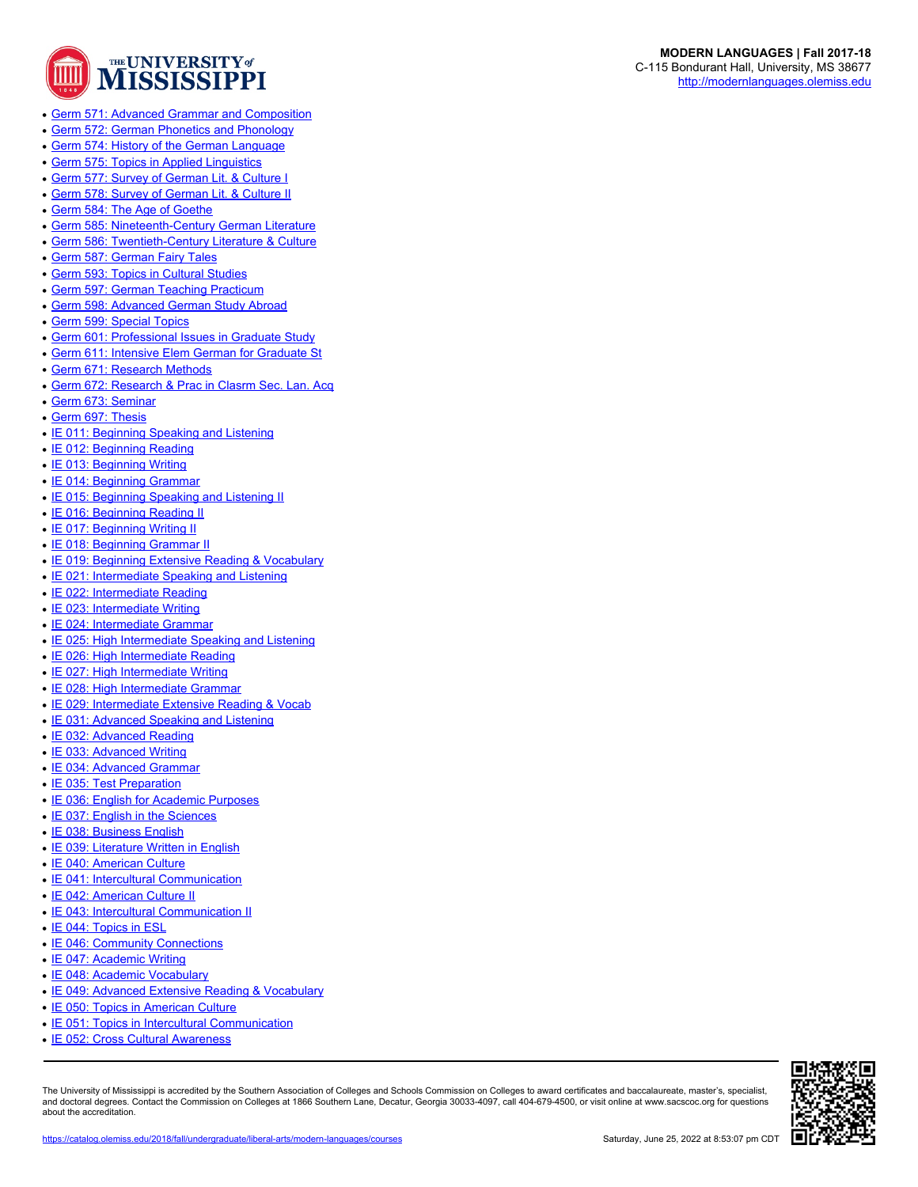

- [Germ 571: Advanced Grammar and Composition](https://catalog.olemiss.edu/2018/fall/liberal-arts/modern-languages/germ-571)
- [Germ 572: German Phonetics and Phonology](https://catalog.olemiss.edu/2018/fall/liberal-arts/modern-languages/germ-572)
- [Germ 574: History of the German Language](https://catalog.olemiss.edu/2018/fall/liberal-arts/modern-languages/germ-574)
- [Germ 575: Topics in Applied Linguistics](https://catalog.olemiss.edu/2018/fall/liberal-arts/modern-languages/germ-575)
- [Germ 577: Survey of German Lit. & Culture I](https://catalog.olemiss.edu/2018/fall/liberal-arts/modern-languages/germ-577)
- [Germ 578: Survey of German Lit. & Culture II](https://catalog.olemiss.edu/2018/fall/liberal-arts/modern-languages/germ-578)
- [Germ 584: The Age of Goethe](https://catalog.olemiss.edu/2018/fall/liberal-arts/modern-languages/germ-584)
- [Germ 585: Nineteenth-Century German Literature](https://catalog.olemiss.edu/2018/fall/liberal-arts/modern-languages/germ-585)
- [Germ 586: Twentieth-Century Literature & Culture](https://catalog.olemiss.edu/2018/fall/liberal-arts/modern-languages/germ-586)
- [Germ 587: German Fairy Tales](https://catalog.olemiss.edu/2018/fall/liberal-arts/modern-languages/germ-587)
- [Germ 593: Topics in Cultural Studies](https://catalog.olemiss.edu/2018/fall/liberal-arts/modern-languages/germ-593)
- [Germ 597: German Teaching Practicum](https://catalog.olemiss.edu/2018/fall/liberal-arts/modern-languages/germ-597)
- [Germ 598: Advanced German Study Abroad](https://catalog.olemiss.edu/2018/fall/liberal-arts/modern-languages/germ-598)
- [Germ 599: Special Topics](https://catalog.olemiss.edu/2018/fall/liberal-arts/modern-languages/germ-599)
- [Germ 601: Professional Issues in Graduate Study](https://catalog.olemiss.edu/2018/fall/liberal-arts/modern-languages/germ-601)
- [Germ 611: Intensive Elem German for Graduate St](https://catalog.olemiss.edu/2018/fall/liberal-arts/modern-languages/germ-611)
- [Germ 671: Research Methods](https://catalog.olemiss.edu/2018/fall/liberal-arts/modern-languages/germ-671)
- [Germ 672: Research & Prac in Clasrm Sec. Lan. Acq](https://catalog.olemiss.edu/2018/fall/liberal-arts/modern-languages/germ-672)
- [Germ 673: Seminar](https://catalog.olemiss.edu/2018/fall/liberal-arts/modern-languages/germ-673)
- [Germ 697: Thesis](https://catalog.olemiss.edu/2018/fall/liberal-arts/modern-languages/germ-697)
- [IE 011: Beginning Speaking and Listening](https://catalog.olemiss.edu/2018/fall/liberal-arts/modern-languages/ie-011)
- [IE 012: Beginning Reading](https://catalog.olemiss.edu/2018/fall/liberal-arts/modern-languages/ie-012)
- [IE 013: Beginning Writing](https://catalog.olemiss.edu/2018/fall/liberal-arts/modern-languages/ie-013)
- [IE 014: Beginning Grammar](https://catalog.olemiss.edu/2018/fall/liberal-arts/modern-languages/ie-014)
- [IE 015: Beginning Speaking and Listening II](https://catalog.olemiss.edu/2018/fall/liberal-arts/modern-languages/ie-015)
- [IE 016: Beginning Reading II](https://catalog.olemiss.edu/2018/fall/liberal-arts/modern-languages/ie-016)
- [IE 017: Beginning Writing II](https://catalog.olemiss.edu/2018/fall/liberal-arts/modern-languages/ie-017)
- [IE 018: Beginning Grammar II](https://catalog.olemiss.edu/2018/fall/liberal-arts/modern-languages/ie-018)
- [IE 019: Beginning Extensive Reading & Vocabulary](https://catalog.olemiss.edu/2018/fall/liberal-arts/modern-languages/ie-019)
- [IE 021: Intermediate Speaking and Listening](https://catalog.olemiss.edu/2018/fall/liberal-arts/modern-languages/ie-021)
- [IE 022: Intermediate Reading](https://catalog.olemiss.edu/2018/fall/liberal-arts/modern-languages/ie-022)
- [IE 023: Intermediate Writing](https://catalog.olemiss.edu/2018/fall/liberal-arts/modern-languages/ie-023)
- [IE 024: Intermediate Grammar](https://catalog.olemiss.edu/2018/fall/liberal-arts/modern-languages/ie-024)
- [IE 025: High Intermediate Speaking and Listening](https://catalog.olemiss.edu/2018/fall/liberal-arts/modern-languages/ie-025)
- [IE 026: High Intermediate Reading](https://catalog.olemiss.edu/2018/fall/liberal-arts/modern-languages/ie-026)
- [IE 027: High Intermediate Writing](https://catalog.olemiss.edu/2018/fall/liberal-arts/modern-languages/ie-027)
- [IE 028: High Intermediate Grammar](https://catalog.olemiss.edu/2018/fall/liberal-arts/modern-languages/ie-028)
- [IE 029: Intermediate Extensive Reading & Vocab](https://catalog.olemiss.edu/2018/fall/liberal-arts/modern-languages/ie-029)
- [IE 031: Advanced Speaking and Listening](https://catalog.olemiss.edu/2018/fall/liberal-arts/modern-languages/ie-031)
- [IE 032: Advanced Reading](https://catalog.olemiss.edu/2018/fall/liberal-arts/modern-languages/ie-032)
- [IE 033: Advanced Writing](https://catalog.olemiss.edu/2018/fall/liberal-arts/modern-languages/ie-033)
- [IE 034: Advanced Grammar](https://catalog.olemiss.edu/2018/fall/liberal-arts/modern-languages/ie-034)
- [IE 035: Test Preparation](https://catalog.olemiss.edu/2018/fall/liberal-arts/modern-languages/ie-035)
- [IE 036: English for Academic Purposes](https://catalog.olemiss.edu/2018/fall/liberal-arts/modern-languages/ie-036)
- [IE 037: English in the Sciences](https://catalog.olemiss.edu/2018/fall/liberal-arts/modern-languages/ie-037)
- [IE 038: Business English](https://catalog.olemiss.edu/2018/fall/liberal-arts/modern-languages/ie-038)
- [IE 039: Literature Written in English](https://catalog.olemiss.edu/2018/fall/liberal-arts/modern-languages/ie-039)
- [IE 040: American Culture](https://catalog.olemiss.edu/2018/fall/liberal-arts/modern-languages/ie-040)
- [IE 041: Intercultural Communication](https://catalog.olemiss.edu/2018/fall/liberal-arts/modern-languages/ie-041)
- [IE 042: American Culture II](https://catalog.olemiss.edu/2018/fall/liberal-arts/modern-languages/ie-042)
- [IE 043: Intercultural Communication II](https://catalog.olemiss.edu/2018/fall/liberal-arts/modern-languages/ie-043)
- [IE 044: Topics in ESL](https://catalog.olemiss.edu/2018/fall/liberal-arts/modern-languages/ie-044)
- [IE 046: Community Connections](https://catalog.olemiss.edu/2018/fall/liberal-arts/modern-languages/ie-046)
- [IE 047: Academic Writing](https://catalog.olemiss.edu/2018/fall/liberal-arts/modern-languages/ie-047)
- [IE 048: Academic Vocabulary](https://catalog.olemiss.edu/2018/fall/liberal-arts/modern-languages/ie-048)
- [IE 049: Advanced Extensive Reading & Vocabulary](https://catalog.olemiss.edu/2018/fall/liberal-arts/modern-languages/ie-049)
- [IE 050: Topics in American Culture](https://catalog.olemiss.edu/2018/fall/liberal-arts/modern-languages/ie-050)
- [IE 051: Topics in Intercultural Communication](https://catalog.olemiss.edu/2018/fall/liberal-arts/modern-languages/ie-051)
- [IE 052: Cross Cultural Awareness](https://catalog.olemiss.edu/2018/fall/liberal-arts/modern-languages/ie-052)

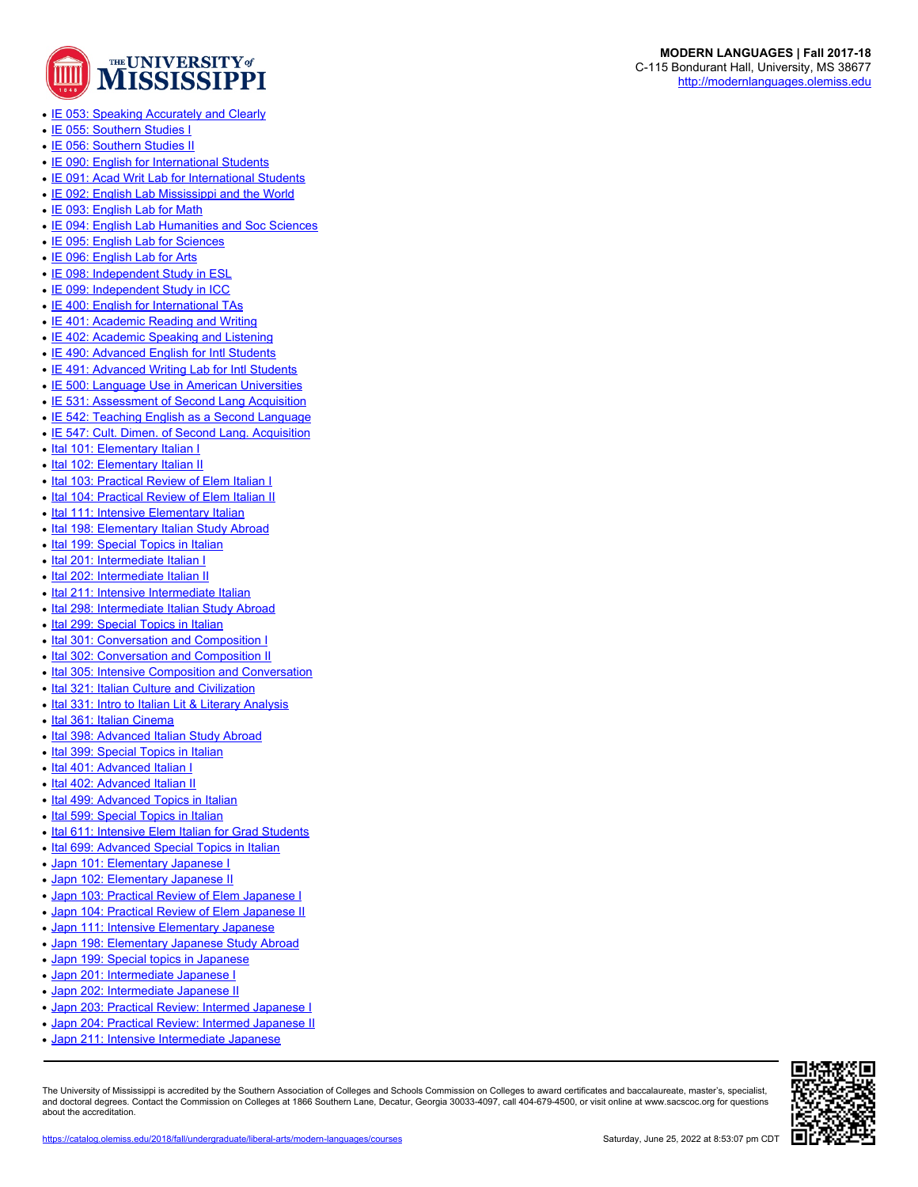

- [IE 053: Speaking Accurately and Clearly](https://catalog.olemiss.edu/2018/fall/liberal-arts/modern-languages/ie-053)
- [IE 055: Southern Studies I](https://catalog.olemiss.edu/2018/fall/liberal-arts/modern-languages/ie-055)
- [IE 056: Southern Studies II](https://catalog.olemiss.edu/2018/fall/liberal-arts/modern-languages/ie-056)
- [IE 090: English for International Students](https://catalog.olemiss.edu/2018/fall/liberal-arts/modern-languages/ie-090)
- [IE 091: Acad Writ Lab for International Students](https://catalog.olemiss.edu/2018/fall/liberal-arts/modern-languages/ie-091)
- [IE 092: English Lab Mississippi and the World](https://catalog.olemiss.edu/2018/fall/liberal-arts/modern-languages/ie-092)
- [IE 093: English Lab for Math](https://catalog.olemiss.edu/2018/fall/liberal-arts/modern-languages/ie-093)
- [IE 094: English Lab Humanities and Soc Sciences](https://catalog.olemiss.edu/2018/fall/liberal-arts/modern-languages/ie-094)
- [IE 095: English Lab for Sciences](https://catalog.olemiss.edu/2018/fall/liberal-arts/modern-languages/ie-095)
- [IE 096: English Lab for Arts](https://catalog.olemiss.edu/2018/fall/liberal-arts/modern-languages/ie-096)
- [IE 098: Independent Study in ESL](https://catalog.olemiss.edu/2018/fall/liberal-arts/modern-languages/ie-098)
- [IE 099: Independent Study in ICC](https://catalog.olemiss.edu/2018/fall/liberal-arts/modern-languages/ie-099)
- [IE 400: English for International TAs](https://catalog.olemiss.edu/2018/fall/liberal-arts/modern-languages/ie-400)
- [IE 401: Academic Reading and Writing](https://catalog.olemiss.edu/2018/fall/liberal-arts/modern-languages/ie-401)
- [IE 402: Academic Speaking and Listening](https://catalog.olemiss.edu/2018/fall/liberal-arts/modern-languages/ie-402)
- [IE 490: Advanced English for Intl Students](https://catalog.olemiss.edu/2018/fall/liberal-arts/modern-languages/ie-490)
- [IE 491: Advanced Writing Lab for Intl Students](https://catalog.olemiss.edu/2018/fall/liberal-arts/modern-languages/ie-491)
- [IE 500: Language Use in American Universities](https://catalog.olemiss.edu/2018/fall/liberal-arts/modern-languages/ie-500)
- [IE 531: Assessment of Second Lang Acquisition](https://catalog.olemiss.edu/2018/fall/liberal-arts/modern-languages/ie-531)
- [IE 542: Teaching English as a Second Language](https://catalog.olemiss.edu/2018/fall/liberal-arts/modern-languages/ie-542)
- [IE 547: Cult. Dimen. of Second Lang. Acquisition](https://catalog.olemiss.edu/2018/fall/liberal-arts/modern-languages/ie-547)
- [Ital 101: Elementary Italian I](https://catalog.olemiss.edu/2018/fall/liberal-arts/modern-languages/ital-101)
- [Ital 102: Elementary Italian II](https://catalog.olemiss.edu/2018/fall/liberal-arts/modern-languages/ital-102)
- [Ital 103: Practical Review of Elem Italian I](https://catalog.olemiss.edu/2018/fall/liberal-arts/modern-languages/ital-103)
- [Ital 104: Practical Review of Elem Italian II](https://catalog.olemiss.edu/2018/fall/liberal-arts/modern-languages/ital-104)
- [Ital 111: Intensive Elementary Italian](https://catalog.olemiss.edu/2018/fall/liberal-arts/modern-languages/ital-111)
- [Ital 198: Elementary Italian Study Abroad](https://catalog.olemiss.edu/2018/fall/liberal-arts/modern-languages/ital-198)
- [Ital 199: Special Topics in Italian](https://catalog.olemiss.edu/2018/fall/liberal-arts/modern-languages/ital-199)
- [Ital 201: Intermediate Italian I](https://catalog.olemiss.edu/2018/fall/liberal-arts/modern-languages/ital-201)
- [Ital 202: Intermediate Italian II](https://catalog.olemiss.edu/2018/fall/liberal-arts/modern-languages/ital-202)
- 
- [Ital 211: Intensive Intermediate Italian](https://catalog.olemiss.edu/2018/fall/liberal-arts/modern-languages/ital-211)
- [Ital 298: Intermediate Italian Study Abroad](https://catalog.olemiss.edu/2018/fall/liberal-arts/modern-languages/ital-298)
- [Ital 299: Special Topics in Italian](https://catalog.olemiss.edu/2018/fall/liberal-arts/modern-languages/ital-299)
- [Ital 301: Conversation and Composition I](https://catalog.olemiss.edu/2018/fall/liberal-arts/modern-languages/ital-301)
- [Ital 302: Conversation and Composition II](https://catalog.olemiss.edu/2018/fall/liberal-arts/modern-languages/ital-302)
- [Ital 305: Intensive Composition and Conversation](https://catalog.olemiss.edu/2018/fall/liberal-arts/modern-languages/ital-305)
- [Ital 321: Italian Culture and Civilization](https://catalog.olemiss.edu/2018/fall/liberal-arts/modern-languages/ital-321)
- [Ital 331: Intro to Italian Lit & Literary Analysis](https://catalog.olemiss.edu/2018/fall/liberal-arts/modern-languages/ital-331)
- [Ital 361: Italian Cinema](https://catalog.olemiss.edu/2018/fall/liberal-arts/modern-languages/ital-361)
- [Ital 398: Advanced Italian Study Abroad](https://catalog.olemiss.edu/2018/fall/liberal-arts/modern-languages/ital-398)
- [Ital 399: Special Topics in Italian](https://catalog.olemiss.edu/2018/fall/liberal-arts/modern-languages/ital-399)
- [Ital 401: Advanced Italian I](https://catalog.olemiss.edu/2018/fall/liberal-arts/modern-languages/ital-401)
- [Ital 402: Advanced Italian II](https://catalog.olemiss.edu/2018/fall/liberal-arts/modern-languages/ital-402)
- [Ital 499: Advanced Topics in Italian](https://catalog.olemiss.edu/2018/fall/liberal-arts/modern-languages/ital-499)
- [Ital 599: Special Topics in Italian](https://catalog.olemiss.edu/2018/fall/liberal-arts/modern-languages/ital-599)
- [Ital 611: Intensive Elem Italian for Grad Students](https://catalog.olemiss.edu/2018/fall/liberal-arts/modern-languages/ital-611)
- [Ital 699: Advanced Special Topics in Italian](https://catalog.olemiss.edu/2018/fall/liberal-arts/modern-languages/ital-699)
- [Japn 101: Elementary Japanese I](https://catalog.olemiss.edu/2018/fall/liberal-arts/modern-languages/japn-101)
- [Japn 102: Elementary Japanese II](https://catalog.olemiss.edu/2018/fall/liberal-arts/modern-languages/japn-102)
- [Japn 103: Practical Review of Elem Japanese I](https://catalog.olemiss.edu/2018/fall/liberal-arts/modern-languages/japn-103)
- [Japn 104: Practical Review of Elem Japanese II](https://catalog.olemiss.edu/2018/fall/liberal-arts/modern-languages/japn-104)
- [Japn 111: Intensive Elementary Japanese](https://catalog.olemiss.edu/2018/fall/liberal-arts/modern-languages/japn-111)
- [Japn 198: Elementary Japanese Study Abroad](https://catalog.olemiss.edu/2018/fall/liberal-arts/modern-languages/japn-198)
- [Japn 199: Special topics in Japanese](https://catalog.olemiss.edu/2018/fall/liberal-arts/modern-languages/japn-199)
- [Japn 201: Intermediate Japanese I](https://catalog.olemiss.edu/2018/fall/liberal-arts/modern-languages/japn-201)
- [Japn 202: Intermediate Japanese II](https://catalog.olemiss.edu/2018/fall/liberal-arts/modern-languages/japn-202)
- [Japn 203: Practical Review: Intermed Japanese I](https://catalog.olemiss.edu/2018/fall/liberal-arts/modern-languages/japn-203)
- [Japn 204: Practical Review: Intermed Japanese II](https://catalog.olemiss.edu/2018/fall/liberal-arts/modern-languages/japn-204)
- [Japn 211: Intensive Intermediate Japanese](https://catalog.olemiss.edu/2018/fall/liberal-arts/modern-languages/japn-211)

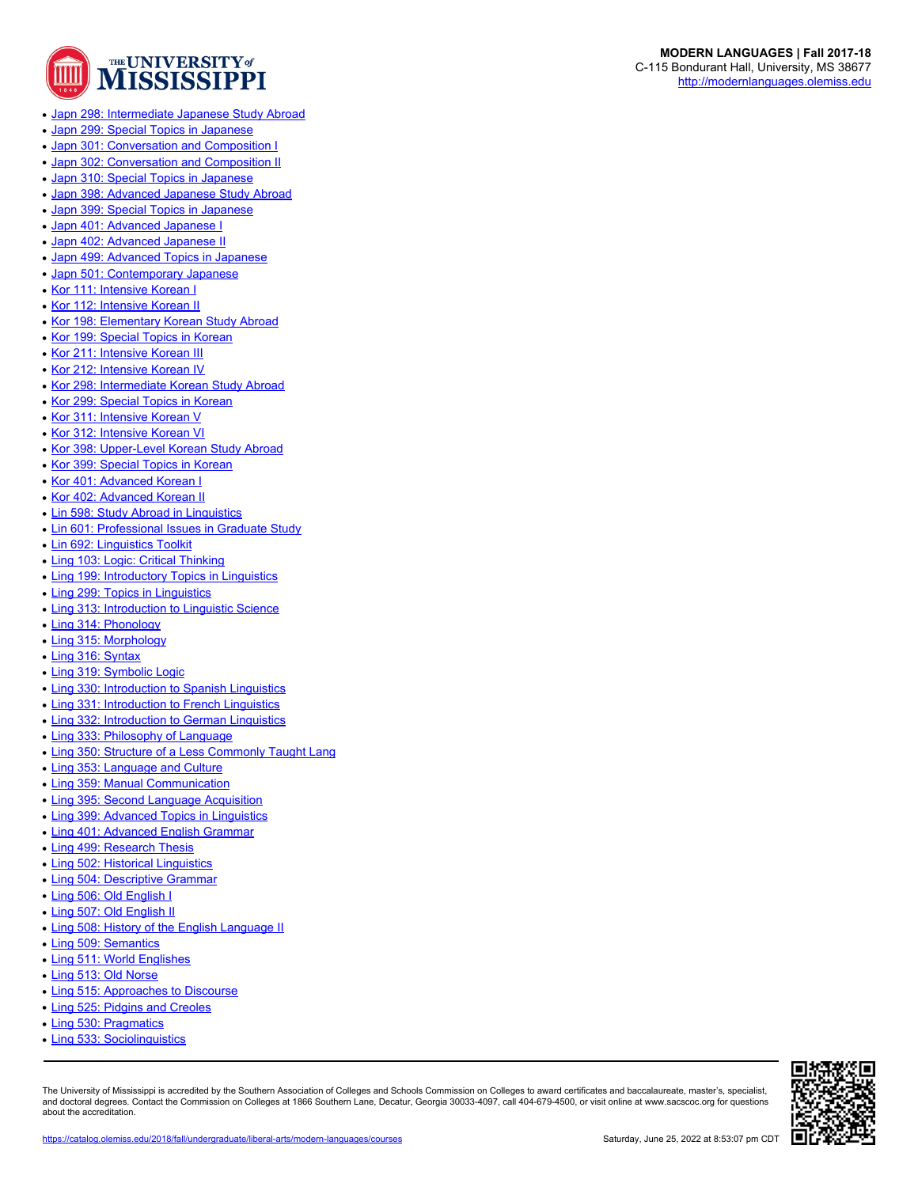

- [Japn 298: Intermediate Japanese Study Abroad](https://catalog.olemiss.edu/2018/fall/liberal-arts/modern-languages/japn-298)
- [Japn 299: Special Topics in Japanese](https://catalog.olemiss.edu/2018/fall/liberal-arts/modern-languages/japn-299)
- [Japn 301: Conversation and Composition I](https://catalog.olemiss.edu/2018/fall/liberal-arts/modern-languages/japn-301)
- [Japn 302: Conversation and Composition II](https://catalog.olemiss.edu/2018/fall/liberal-arts/modern-languages/japn-302)
- [Japn 310: Special Topics in Japanese](https://catalog.olemiss.edu/2018/fall/liberal-arts/modern-languages/japn-310)
- [Japn 398: Advanced Japanese Study Abroad](https://catalog.olemiss.edu/2018/fall/liberal-arts/modern-languages/japn-398)
- [Japn 399: Special Topics in Japanese](https://catalog.olemiss.edu/2018/fall/liberal-arts/modern-languages/japn-399)
- [Japn 401: Advanced Japanese I](https://catalog.olemiss.edu/2018/fall/liberal-arts/modern-languages/japn-401)
- [Japn 402: Advanced Japanese II](https://catalog.olemiss.edu/2018/fall/liberal-arts/modern-languages/japn-402)
- [Japn 499: Advanced Topics in Japanese](https://catalog.olemiss.edu/2018/fall/liberal-arts/modern-languages/japn-499)
- [Japn 501: Contemporary Japanese](https://catalog.olemiss.edu/2018/fall/liberal-arts/modern-languages/japn-501)
- [Kor 111: Intensive Korean I](https://catalog.olemiss.edu/2018/fall/liberal-arts/modern-languages/kor-111)
- [Kor 112: Intensive Korean II](https://catalog.olemiss.edu/2018/fall/liberal-arts/modern-languages/kor-112)
- [Kor 198: Elementary Korean Study Abroad](https://catalog.olemiss.edu/2018/fall/liberal-arts/modern-languages/kor-198)
- [Kor 199: Special Topics in Korean](https://catalog.olemiss.edu/2018/fall/liberal-arts/modern-languages/kor-199)
- [Kor 211: Intensive Korean III](https://catalog.olemiss.edu/2018/fall/liberal-arts/modern-languages/kor-211)
- [Kor 212: Intensive Korean IV](https://catalog.olemiss.edu/2018/fall/liberal-arts/modern-languages/kor-212)
- [Kor 298: Intermediate Korean Study Abroad](https://catalog.olemiss.edu/2018/fall/liberal-arts/modern-languages/kor-298)
- [Kor 299: Special Topics in Korean](https://catalog.olemiss.edu/2018/fall/liberal-arts/modern-languages/kor-299)
- [Kor 311: Intensive Korean V](https://catalog.olemiss.edu/2018/fall/liberal-arts/modern-languages/kor-311)
- [Kor 312: Intensive Korean VI](https://catalog.olemiss.edu/2018/fall/liberal-arts/modern-languages/kor-312)
- [Kor 398: Upper-Level Korean Study Abroad](https://catalog.olemiss.edu/2018/fall/liberal-arts/modern-languages/kor-398)
- [Kor 399: Special Topics in Korean](https://catalog.olemiss.edu/2018/fall/liberal-arts/modern-languages/kor-399)
- [Kor 401: Advanced Korean I](https://catalog.olemiss.edu/2018/fall/liberal-arts/modern-languages/kor-401)
- [Kor 402: Advanced Korean II](https://catalog.olemiss.edu/2018/fall/liberal-arts/modern-languages/kor-402)
- [Lin 598: Study Abroad in Linguistics](https://catalog.olemiss.edu/2018/fall/liberal-arts/modern-languages/lin-598)
- [Lin 601: Professional Issues in Graduate Study](https://catalog.olemiss.edu/2018/fall/liberal-arts/modern-languages/lin-601)
- [Lin 692: Linguistics Toolkit](https://catalog.olemiss.edu/2018/fall/liberal-arts/modern-languages/lin-692)
- [Ling 103: Logic: Critical Thinking](https://catalog.olemiss.edu/2018/fall/liberal-arts/modern-languages/ling-103)
- [Ling 199: Introductory Topics in Linguistics](https://catalog.olemiss.edu/2018/fall/liberal-arts/modern-languages/ling-199)
- [Ling 299: Topics in Linguistics](https://catalog.olemiss.edu/2018/fall/liberal-arts/modern-languages/ling-299)
- [Ling 313: Introduction to Linguistic Science](https://catalog.olemiss.edu/2018/fall/liberal-arts/modern-languages/ling-313)
- [Ling 314: Phonology](https://catalog.olemiss.edu/2018/fall/liberal-arts/modern-languages/ling-314)
- [Ling 315: Morphology](https://catalog.olemiss.edu/2018/fall/liberal-arts/modern-languages/ling-315)
- [Ling 316: Syntax](https://catalog.olemiss.edu/2018/fall/liberal-arts/modern-languages/ling-316)
- [Ling 319: Symbolic Logic](https://catalog.olemiss.edu/2018/fall/liberal-arts/modern-languages/ling-319)
- [Ling 330: Introduction to Spanish Linguistics](https://catalog.olemiss.edu/2018/fall/liberal-arts/modern-languages/ling-330)
- [Ling 331: Introduction to French Linguistics](https://catalog.olemiss.edu/2018/fall/liberal-arts/modern-languages/ling-331)
- [Ling 332: Introduction to German Linguistics](https://catalog.olemiss.edu/2018/fall/liberal-arts/modern-languages/ling-332)
- [Ling 333: Philosophy of Language](https://catalog.olemiss.edu/2018/fall/liberal-arts/modern-languages/ling-333)
- [Ling 350: Structure of a Less Commonly Taught Lang](https://catalog.olemiss.edu/2018/fall/liberal-arts/modern-languages/ling-350)
- [Ling 353: Language and Culture](https://catalog.olemiss.edu/2018/fall/liberal-arts/modern-languages/ling-353)
- [Ling 359: Manual Communication](https://catalog.olemiss.edu/2018/fall/liberal-arts/modern-languages/ling-359)
- [Ling 395: Second Language Acquisition](https://catalog.olemiss.edu/2018/fall/liberal-arts/modern-languages/ling-395)
- [Ling 399: Advanced Topics in Linguistics](https://catalog.olemiss.edu/2018/fall/liberal-arts/modern-languages/ling-399)
- [Ling 401: Advanced English Grammar](https://catalog.olemiss.edu/2018/fall/liberal-arts/modern-languages/ling-401)
- [Ling 499: Research Thesis](https://catalog.olemiss.edu/2018/fall/liberal-arts/modern-languages/ling-499)
- [Ling 502: Historical Linguistics](https://catalog.olemiss.edu/2018/fall/liberal-arts/modern-languages/ling-502)
- [Ling 504: Descriptive Grammar](https://catalog.olemiss.edu/2018/fall/liberal-arts/modern-languages/ling-504)
- [Ling 506: Old English I](https://catalog.olemiss.edu/2018/fall/liberal-arts/modern-languages/ling-506)
- [Ling 507: Old English II](https://catalog.olemiss.edu/2018/fall/liberal-arts/modern-languages/ling-507)
- [Ling 508: History of the English Language II](https://catalog.olemiss.edu/2018/fall/liberal-arts/modern-languages/ling-508)
- [Ling 509: Semantics](https://catalog.olemiss.edu/2018/fall/liberal-arts/modern-languages/ling-509)
- [Ling 511: World Englishes](https://catalog.olemiss.edu/2018/fall/liberal-arts/modern-languages/ling-511)
- [Ling 513: Old Norse](https://catalog.olemiss.edu/2018/fall/liberal-arts/modern-languages/ling-513)
- [Ling 515: Approaches to Discourse](https://catalog.olemiss.edu/2018/fall/liberal-arts/modern-languages/ling-515)
- [Ling 525: Pidgins and Creoles](https://catalog.olemiss.edu/2018/fall/liberal-arts/modern-languages/ling-525)
- [Ling 530: Pragmatics](https://catalog.olemiss.edu/2018/fall/liberal-arts/modern-languages/ling-530)
- 
- [Ling 533: Sociolinguistics](https://catalog.olemiss.edu/2018/fall/liberal-arts/modern-languages/ling-533)

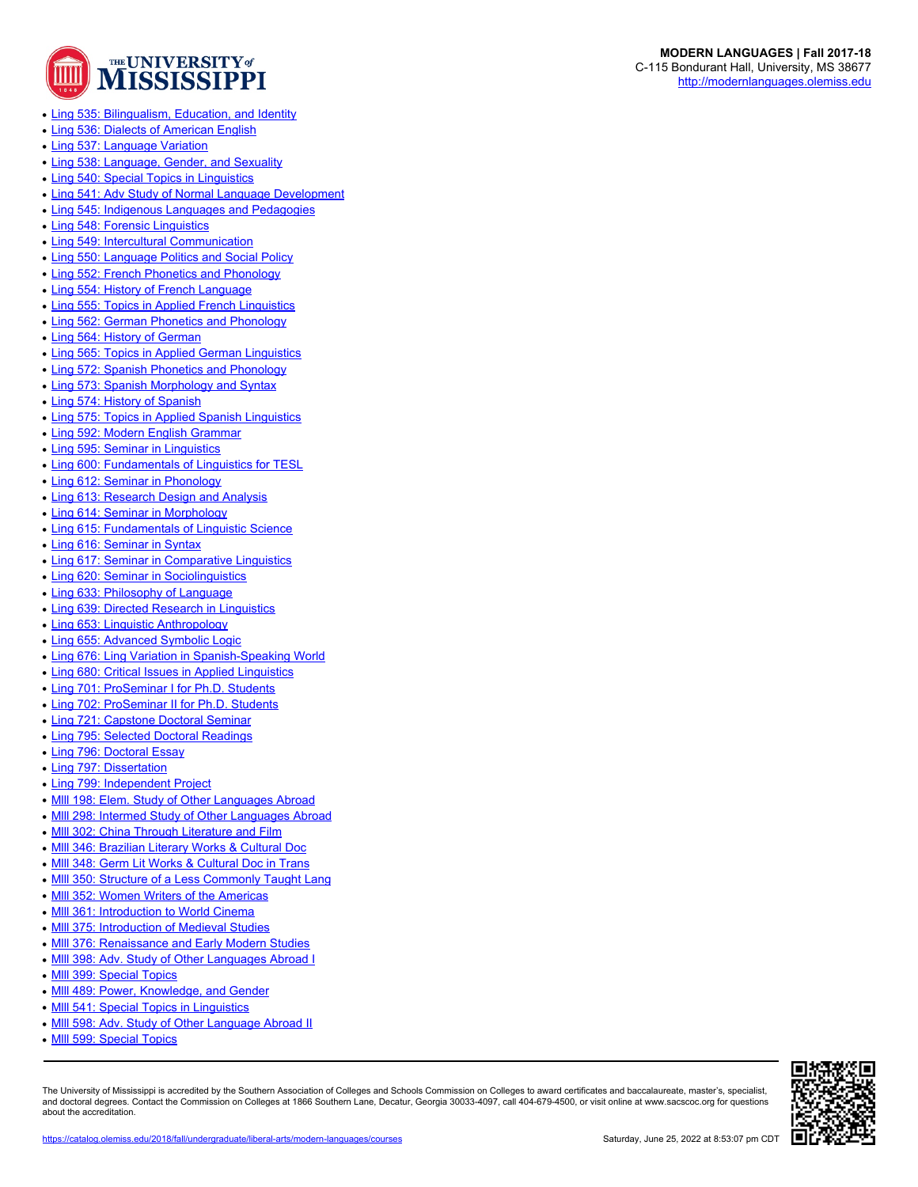

- [Ling 535: Bilingualism, Education, and Identity](https://catalog.olemiss.edu/2018/fall/liberal-arts/modern-languages/ling-535)
- [Ling 536: Dialects of American English](https://catalog.olemiss.edu/2018/fall/liberal-arts/modern-languages/ling-536)
- [Ling 537: Language Variation](https://catalog.olemiss.edu/2018/fall/liberal-arts/modern-languages/ling-537)
- [Ling 538: Language, Gender, and Sexuality](https://catalog.olemiss.edu/2018/fall/liberal-arts/modern-languages/ling-538)
- [Ling 540: Special Topics in Linguistics](https://catalog.olemiss.edu/2018/fall/liberal-arts/modern-languages/ling-540)
- [Ling 541: Adv Study of Normal Language Development](https://catalog.olemiss.edu/2018/fall/liberal-arts/modern-languages/ling-541)
- [Ling 545: Indigenous Languages and Pedagogies](https://catalog.olemiss.edu/2018/fall/liberal-arts/modern-languages/ling-545)
- [Ling 548: Forensic Linguistics](https://catalog.olemiss.edu/2018/fall/liberal-arts/modern-languages/ling-548)
- [Ling 549: Intercultural Communication](https://catalog.olemiss.edu/2018/fall/liberal-arts/modern-languages/ling-549)
- [Ling 550: Language Politics and Social Policy](https://catalog.olemiss.edu/2018/fall/liberal-arts/modern-languages/ling-550)
- [Ling 552: French Phonetics and Phonology](https://catalog.olemiss.edu/2018/fall/liberal-arts/modern-languages/ling-552)
- [Ling 554: History of French Language](https://catalog.olemiss.edu/2018/fall/liberal-arts/modern-languages/ling-554)
- [Ling 555: Topics in Applied French Linguistics](https://catalog.olemiss.edu/2018/fall/liberal-arts/modern-languages/ling-555)
- [Ling 562: German Phonetics and Phonology](https://catalog.olemiss.edu/2018/fall/liberal-arts/modern-languages/ling-562)
- [Ling 564: History of German](https://catalog.olemiss.edu/2018/fall/liberal-arts/modern-languages/ling-564)
- [Ling 565: Topics in Applied German Linguistics](https://catalog.olemiss.edu/2018/fall/liberal-arts/modern-languages/ling-565)
- [Ling 572: Spanish Phonetics and Phonology](https://catalog.olemiss.edu/2018/fall/liberal-arts/modern-languages/ling-572)
- [Ling 573: Spanish Morphology and Syntax](https://catalog.olemiss.edu/2018/fall/liberal-arts/modern-languages/ling-573)
- [Ling 574: History of Spanish](https://catalog.olemiss.edu/2018/fall/liberal-arts/modern-languages/ling-574)
- [Ling 575: Topics in Applied Spanish Linguistics](https://catalog.olemiss.edu/2018/fall/liberal-arts/modern-languages/ling-575)
- [Ling 592: Modern English Grammar](https://catalog.olemiss.edu/2018/fall/liberal-arts/modern-languages/ling-592)
- [Ling 595: Seminar in Linguistics](https://catalog.olemiss.edu/2018/fall/liberal-arts/modern-languages/ling-595)
- [Ling 600: Fundamentals of Linguistics for TESL](https://catalog.olemiss.edu/2018/fall/liberal-arts/modern-languages/ling-600)
- [Ling 612: Seminar in Phonology](https://catalog.olemiss.edu/2018/fall/liberal-arts/modern-languages/ling-612)
- [Ling 613: Research Design and Analysis](https://catalog.olemiss.edu/2018/fall/liberal-arts/modern-languages/ling-613)
- [Ling 614: Seminar in Morphology](https://catalog.olemiss.edu/2018/fall/liberal-arts/modern-languages/ling-614)
- [Ling 615: Fundamentals of Linguistic Science](https://catalog.olemiss.edu/2018/fall/liberal-arts/modern-languages/ling-615)
- [Ling 616: Seminar in Syntax](https://catalog.olemiss.edu/2018/fall/liberal-arts/modern-languages/ling-616)
- [Ling 617: Seminar in Comparative Linguistics](https://catalog.olemiss.edu/2018/fall/liberal-arts/modern-languages/ling-617)
- [Ling 620: Seminar in Sociolinguistics](https://catalog.olemiss.edu/2018/fall/liberal-arts/modern-languages/ling-620)
- [Ling 633: Philosophy of Language](https://catalog.olemiss.edu/2018/fall/liberal-arts/modern-languages/ling-633)
- [Ling 639: Directed Research in Linguistics](https://catalog.olemiss.edu/2018/fall/liberal-arts/modern-languages/ling-639)
- [Ling 653: Linguistic Anthropology](https://catalog.olemiss.edu/2018/fall/liberal-arts/modern-languages/ling-653)
- [Ling 655: Advanced Symbolic Logic](https://catalog.olemiss.edu/2018/fall/liberal-arts/modern-languages/ling-655)
- [Ling 676: Ling Variation in Spanish-Speaking World](https://catalog.olemiss.edu/2018/fall/liberal-arts/modern-languages/ling-676)
- [Ling 680: Critical Issues in Applied Linguistics](https://catalog.olemiss.edu/2018/fall/liberal-arts/modern-languages/ling-680)
- [Ling 701: ProSeminar I for Ph.D. Students](https://catalog.olemiss.edu/2018/fall/liberal-arts/modern-languages/ling-701)
- [Ling 702: ProSeminar II for Ph.D. Students](https://catalog.olemiss.edu/2018/fall/liberal-arts/modern-languages/ling-702)
- [Ling 721: Capstone Doctoral Seminar](https://catalog.olemiss.edu/2018/fall/liberal-arts/modern-languages/ling-721)
- [Ling 795: Selected Doctoral Readings](https://catalog.olemiss.edu/2018/fall/liberal-arts/modern-languages/ling-795)
- [Ling 796: Doctoral Essay](https://catalog.olemiss.edu/2018/fall/liberal-arts/modern-languages/ling-796)
- 
- [Ling 797: Dissertation](https://catalog.olemiss.edu/2018/fall/liberal-arts/modern-languages/ling-797)
- [Ling 799: Independent Project](https://catalog.olemiss.edu/2018/fall/liberal-arts/modern-languages/ling-799)
- Mill 198: Elem. Study of Other Languages Abroad
- MIII 298: Intermed Study of Other Languages Abroad
- MIII 302: China Through Literature and Film
- MIII 346: Brazilian Literary Works & Cultural Doc
- MIII 348: Germ Lit Works & Cultural Doc in Trans
- MIII 350: Structure of a Less Commonly Taught Lang
- MIII 352: Women Writers of the Americas
- MIII 361: Introduction to World Cinema
- MIII 375: Introduction of Medieval Studies
- MIII 376: Renaissance and Early Modern Studies
- MIII 398: Adv. Study of Other Languages Abroad I
- MIII 399: Special Topics
- MIII 489: Power, Knowledge, and Gender
- MIII 541: Special Topics in Linguistics
- MIII 598: Adv. Study of Other Language Abroad II
- MIII 599: Special Topics

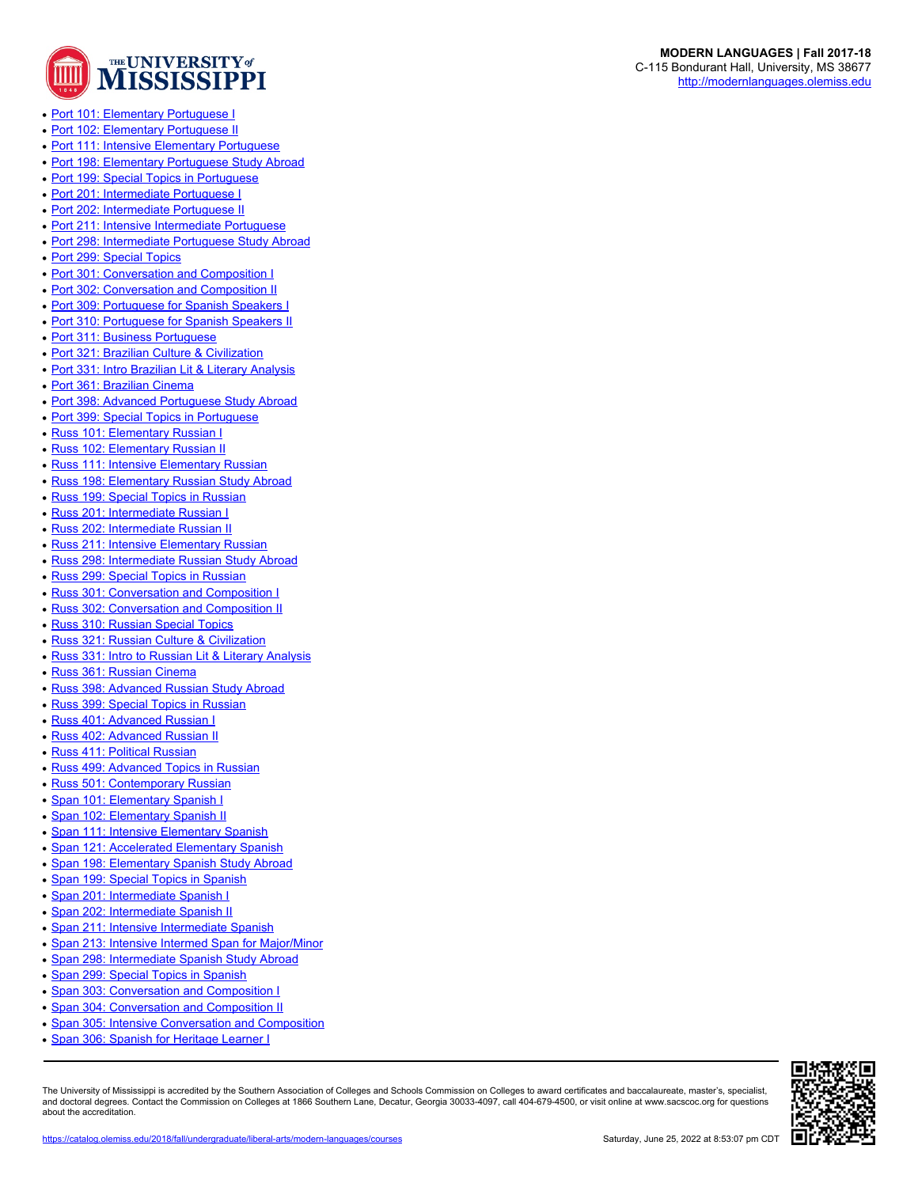

- [Port 101: Elementary Portuguese I](https://catalog.olemiss.edu/2018/fall/liberal-arts/modern-languages/port-101)
- [Port 102: Elementary Portuguese II](https://catalog.olemiss.edu/2018/fall/liberal-arts/modern-languages/port-102)
- [Port 111: Intensive Elementary Portuguese](https://catalog.olemiss.edu/2018/fall/liberal-arts/modern-languages/port-111)
- [Port 198: Elementary Portuguese Study Abroad](https://catalog.olemiss.edu/2018/fall/liberal-arts/modern-languages/port-198)
- [Port 199: Special Topics in Portuguese](https://catalog.olemiss.edu/2018/fall/liberal-arts/modern-languages/port-199)
- [Port 201: Intermediate Portuguese I](https://catalog.olemiss.edu/2018/fall/liberal-arts/modern-languages/port-201)
- [Port 202: Intermediate Portuguese II](https://catalog.olemiss.edu/2018/fall/liberal-arts/modern-languages/port-202)
- [Port 211: Intensive Intermediate Portuguese](https://catalog.olemiss.edu/2018/fall/liberal-arts/modern-languages/port-211)
- [Port 298: Intermediate Portuguese Study Abroad](https://catalog.olemiss.edu/2018/fall/liberal-arts/modern-languages/port-298)
- [Port 299: Special Topics](https://catalog.olemiss.edu/2018/fall/liberal-arts/modern-languages/port-299)
- [Port 301: Conversation and Composition I](https://catalog.olemiss.edu/2018/fall/liberal-arts/modern-languages/port-301)
- [Port 302: Conversation and Composition II](https://catalog.olemiss.edu/2018/fall/liberal-arts/modern-languages/port-302)
- [Port 309: Portuguese for Spanish Speakers I](https://catalog.olemiss.edu/2018/fall/liberal-arts/modern-languages/port-309)
- [Port 310: Portuguese for Spanish Speakers II](https://catalog.olemiss.edu/2018/fall/liberal-arts/modern-languages/port-310)
- [Port 311: Business Portuguese](https://catalog.olemiss.edu/2018/fall/liberal-arts/modern-languages/port-311)
- [Port 321: Brazilian Culture & Civilization](https://catalog.olemiss.edu/2018/fall/liberal-arts/modern-languages/port-321)
- [Port 331: Intro Brazilian Lit & Literary Analysis](https://catalog.olemiss.edu/2018/fall/liberal-arts/modern-languages/port-331)
- [Port 361: Brazilian Cinema](https://catalog.olemiss.edu/2018/fall/liberal-arts/modern-languages/port-361)
- [Port 398: Advanced Portuguese Study Abroad](https://catalog.olemiss.edu/2018/fall/liberal-arts/modern-languages/port-398)
- [Port 399: Special Topics in Portuguese](https://catalog.olemiss.edu/2018/fall/liberal-arts/modern-languages/port-399)
- [Russ 101: Elementary Russian I](https://catalog.olemiss.edu/2018/fall/liberal-arts/modern-languages/russ-101)
- [Russ 102: Elementary Russian II](https://catalog.olemiss.edu/2018/fall/liberal-arts/modern-languages/russ-102)
- [Russ 111: Intensive Elementary Russian](https://catalog.olemiss.edu/2018/fall/liberal-arts/modern-languages/russ-111)
- [Russ 198: Elementary Russian Study Abroad](https://catalog.olemiss.edu/2018/fall/liberal-arts/modern-languages/russ-198)
- [Russ 199: Special Topics in Russian](https://catalog.olemiss.edu/2018/fall/liberal-arts/modern-languages/russ-199)
- [Russ 201: Intermediate Russian I](https://catalog.olemiss.edu/2018/fall/liberal-arts/modern-languages/russ-201)
- **[Russ 202: Intermediate Russian II](https://catalog.olemiss.edu/2018/fall/liberal-arts/modern-languages/russ-202)**
- [Russ 211: Intensive Elementary Russian](https://catalog.olemiss.edu/2018/fall/liberal-arts/modern-languages/russ-211)
- [Russ 298: Intermediate Russian Study Abroad](https://catalog.olemiss.edu/2018/fall/liberal-arts/modern-languages/russ-298)
- [Russ 299: Special Topics in Russian](https://catalog.olemiss.edu/2018/fall/liberal-arts/modern-languages/russ-299)
- [Russ 301: Conversation and Composition I](https://catalog.olemiss.edu/2018/fall/liberal-arts/modern-languages/russ-301)
- [Russ 302: Conversation and Composition II](https://catalog.olemiss.edu/2018/fall/liberal-arts/modern-languages/russ-302)
- [Russ 310: Russian Special Topics](https://catalog.olemiss.edu/2018/fall/liberal-arts/modern-languages/russ-310)
- [Russ 321: Russian Culture & Civilization](https://catalog.olemiss.edu/2018/fall/liberal-arts/modern-languages/russ-321)
- [Russ 331: Intro to Russian Lit & Literary Analysis](https://catalog.olemiss.edu/2018/fall/liberal-arts/modern-languages/russ-331)
- [Russ 361: Russian Cinema](https://catalog.olemiss.edu/2018/fall/liberal-arts/modern-languages/russ-361)
- [Russ 398: Advanced Russian Study Abroad](https://catalog.olemiss.edu/2018/fall/liberal-arts/modern-languages/russ-398)
- [Russ 399: Special Topics in Russian](https://catalog.olemiss.edu/2018/fall/liberal-arts/modern-languages/russ-399)
- [Russ 401: Advanced Russian I](https://catalog.olemiss.edu/2018/fall/liberal-arts/modern-languages/russ-401)
- [Russ 402: Advanced Russian II](https://catalog.olemiss.edu/2018/fall/liberal-arts/modern-languages/russ-402)
- [Russ 411: Political Russian](https://catalog.olemiss.edu/2018/fall/liberal-arts/modern-languages/russ-411)
- [Russ 499: Advanced Topics in Russian](https://catalog.olemiss.edu/2018/fall/liberal-arts/modern-languages/russ-499)
- [Russ 501: Contemporary Russian](https://catalog.olemiss.edu/2018/fall/liberal-arts/modern-languages/russ-501)
- [Span 101: Elementary Spanish I](https://catalog.olemiss.edu/2018/fall/liberal-arts/modern-languages/span-101)
- [Span 102: Elementary Spanish II](https://catalog.olemiss.edu/2018/fall/liberal-arts/modern-languages/span-102)
- [Span 111: Intensive Elementary Spanish](https://catalog.olemiss.edu/2018/fall/liberal-arts/modern-languages/span-111)
- [Span 121: Accelerated Elementary Spanish](https://catalog.olemiss.edu/2018/fall/liberal-arts/modern-languages/span-121)
- [Span 198: Elementary Spanish Study Abroad](https://catalog.olemiss.edu/2018/fall/liberal-arts/modern-languages/span-198)
- [Span 199: Special Topics in Spanish](https://catalog.olemiss.edu/2018/fall/liberal-arts/modern-languages/span-199)
- [Span 201: Intermediate Spanish I](https://catalog.olemiss.edu/2018/fall/liberal-arts/modern-languages/span-201)
- 
- [Span 202: Intermediate Spanish II](https://catalog.olemiss.edu/2018/fall/liberal-arts/modern-languages/span-202)
- [Span 211: Intensive Intermediate Spanish](https://catalog.olemiss.edu/2018/fall/liberal-arts/modern-languages/span-211)
- [Span 213: Intensive Intermed Span for Major/Minor](https://catalog.olemiss.edu/2018/fall/liberal-arts/modern-languages/span-213)
- [Span 298: Intermediate Spanish Study Abroad](https://catalog.olemiss.edu/2018/fall/liberal-arts/modern-languages/span-298)
- [Span 299: Special Topics in Spanish](https://catalog.olemiss.edu/2018/fall/liberal-arts/modern-languages/span-299)
- [Span 303: Conversation and Composition I](https://catalog.olemiss.edu/2018/fall/liberal-arts/modern-languages/span-303)
- **[Span 304: Conversation and Composition II](https://catalog.olemiss.edu/2018/fall/liberal-arts/modern-languages/span-304)**
- **[Span 305: Intensive Conversation and Composition](https://catalog.olemiss.edu/2018/fall/liberal-arts/modern-languages/span-305)**
- [Span 306: Spanish for Heritage Learner I](https://catalog.olemiss.edu/2018/fall/liberal-arts/modern-languages/span-306)



**MODERN LANGUAGES | Fall 2017-18** C-115 Bondurant Hall, University, MS 38677 <http://modernlanguages.olemiss.edu>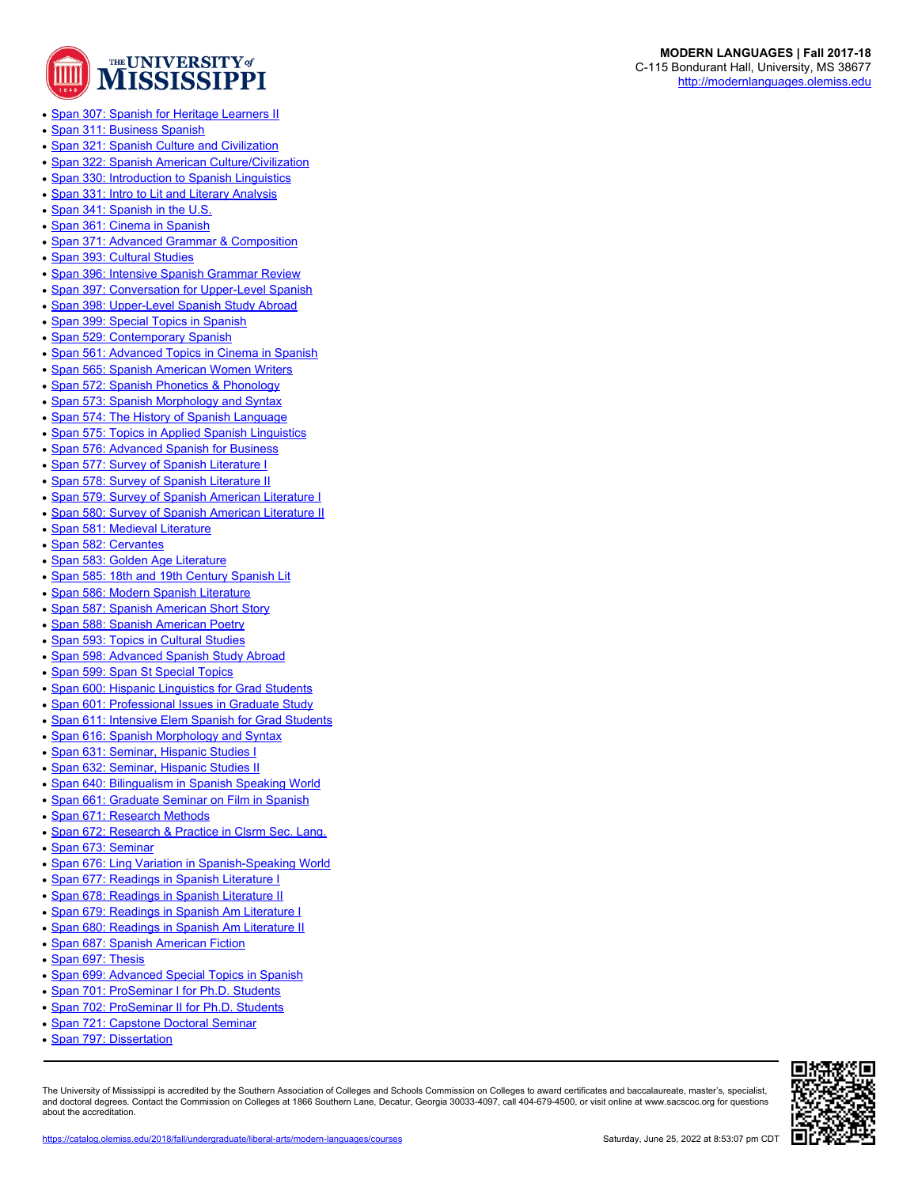

- [Span 307: Spanish for Heritage Learners II](https://catalog.olemiss.edu/2018/fall/liberal-arts/modern-languages/span-307)
- [Span 311: Business Spanish](https://catalog.olemiss.edu/2018/fall/liberal-arts/modern-languages/span-311)
- [Span 321: Spanish Culture and Civilization](https://catalog.olemiss.edu/2018/fall/liberal-arts/modern-languages/span-321)
- [Span 322: Spanish American Culture/Civilization](https://catalog.olemiss.edu/2018/fall/liberal-arts/modern-languages/span-322)
- [Span 330: Introduction to Spanish Linguistics](https://catalog.olemiss.edu/2018/fall/liberal-arts/modern-languages/span-330)
- [Span 331: Intro to Lit and Literary Analysis](https://catalog.olemiss.edu/2018/fall/liberal-arts/modern-languages/span-331)
- [Span 341: Spanish in the U.S.](https://catalog.olemiss.edu/2018/fall/liberal-arts/modern-languages/span-341)
- [Span 361: Cinema in Spanish](https://catalog.olemiss.edu/2018/fall/liberal-arts/modern-languages/span-361)
- [Span 371: Advanced Grammar & Composition](https://catalog.olemiss.edu/2018/fall/liberal-arts/modern-languages/span-371)
- [Span 393: Cultural Studies](https://catalog.olemiss.edu/2018/fall/liberal-arts/modern-languages/span-393)
- [Span 396: Intensive Spanish Grammar Review](https://catalog.olemiss.edu/2018/fall/liberal-arts/modern-languages/span-396)
- [Span 397: Conversation for Upper-Level Spanish](https://catalog.olemiss.edu/2018/fall/liberal-arts/modern-languages/span-397)
- [Span 398: Upper-Level Spanish Study Abroad](https://catalog.olemiss.edu/2018/fall/liberal-arts/modern-languages/span-398)
- [Span 399: Special Topics in Spanish](https://catalog.olemiss.edu/2018/fall/liberal-arts/modern-languages/span-399)
- [Span 529: Contemporary Spanish](https://catalog.olemiss.edu/2018/fall/liberal-arts/modern-languages/span-529)
- [Span 561: Advanced Topics in Cinema in Spanish](https://catalog.olemiss.edu/2018/fall/liberal-arts/modern-languages/span-561)
- [Span 565: Spanish American Women Writers](https://catalog.olemiss.edu/2018/fall/liberal-arts/modern-languages/span-565)
- [Span 572: Spanish Phonetics & Phonology](https://catalog.olemiss.edu/2018/fall/liberal-arts/modern-languages/span-572)
- [Span 573: Spanish Morphology and Syntax](https://catalog.olemiss.edu/2018/fall/liberal-arts/modern-languages/span-573)
- [Span 574: The History of Spanish Language](https://catalog.olemiss.edu/2018/fall/liberal-arts/modern-languages/span-574)
- [Span 575: Topics in Applied Spanish Linguistics](https://catalog.olemiss.edu/2018/fall/liberal-arts/modern-languages/span-575)
- [Span 576: Advanced Spanish for Business](https://catalog.olemiss.edu/2018/fall/liberal-arts/modern-languages/span-576)
- [Span 577: Survey of Spanish Literature I](https://catalog.olemiss.edu/2018/fall/liberal-arts/modern-languages/span-577)
- [Span 578: Survey of Spanish Literature II](https://catalog.olemiss.edu/2018/fall/liberal-arts/modern-languages/span-578)
- [Span 579: Survey of Spanish American Literature I](https://catalog.olemiss.edu/2018/fall/liberal-arts/modern-languages/span-579)
- [Span 580: Survey of Spanish American Literature II](https://catalog.olemiss.edu/2018/fall/liberal-arts/modern-languages/span-580)
- [Span 581: Medieval Literature](https://catalog.olemiss.edu/2018/fall/liberal-arts/modern-languages/span-581)
- [Span 582: Cervantes](https://catalog.olemiss.edu/2018/fall/liberal-arts/modern-languages/span-582)
- [Span 583: Golden Age Literature](https://catalog.olemiss.edu/2018/fall/liberal-arts/modern-languages/span-583)
- [Span 585: 18th and 19th Century Spanish Lit](https://catalog.olemiss.edu/2018/fall/liberal-arts/modern-languages/span-585)
- [Span 586: Modern Spanish Literature](https://catalog.olemiss.edu/2018/fall/liberal-arts/modern-languages/span-586)
- [Span 587: Spanish American Short Story](https://catalog.olemiss.edu/2018/fall/liberal-arts/modern-languages/span-587)
- [Span 588: Spanish American Poetry](https://catalog.olemiss.edu/2018/fall/liberal-arts/modern-languages/span-588)
- [Span 593: Topics in Cultural Studies](https://catalog.olemiss.edu/2018/fall/liberal-arts/modern-languages/span-593)
- [Span 598: Advanced Spanish Study Abroad](https://catalog.olemiss.edu/2018/fall/liberal-arts/modern-languages/span-598)
- [Span 599: Span St Special Topics](https://catalog.olemiss.edu/2018/fall/liberal-arts/modern-languages/span-599)
- [Span 600: Hispanic Linguistics for Grad Students](https://catalog.olemiss.edu/2018/fall/liberal-arts/modern-languages/span-600)
- [Span 601: Professional Issues in Graduate Study](https://catalog.olemiss.edu/2018/fall/liberal-arts/modern-languages/span-601)
- [Span 611: Intensive Elem Spanish for Grad Students](https://catalog.olemiss.edu/2018/fall/liberal-arts/modern-languages/span-611)
- [Span 616: Spanish Morphology and Syntax](https://catalog.olemiss.edu/2018/fall/liberal-arts/modern-languages/span-616)
- [Span 631: Seminar, Hispanic Studies I](https://catalog.olemiss.edu/2018/fall/liberal-arts/modern-languages/span-631)
- [Span 632: Seminar, Hispanic Studies II](https://catalog.olemiss.edu/2018/fall/liberal-arts/modern-languages/span-632)
- [Span 640: Bilingualism in Spanish Speaking World](https://catalog.olemiss.edu/2018/fall/liberal-arts/modern-languages/span-640)
- [Span 661: Graduate Seminar on Film in Spanish](https://catalog.olemiss.edu/2018/fall/liberal-arts/modern-languages/span-661)
- [Span 671: Research Methods](https://catalog.olemiss.edu/2018/fall/liberal-arts/modern-languages/span-671)
- [Span 672: Research & Practice in Clsrm Sec. Lang.](https://catalog.olemiss.edu/2018/fall/liberal-arts/modern-languages/span-672)
- [Span 673: Seminar](https://catalog.olemiss.edu/2018/fall/liberal-arts/modern-languages/span-673)
- [Span 676: Ling Variation in Spanish-Speaking World](https://catalog.olemiss.edu/2018/fall/liberal-arts/modern-languages/span-676)
- [Span 677: Readings in Spanish Literature I](https://catalog.olemiss.edu/2018/fall/liberal-arts/modern-languages/span-677)
- [Span 678: Readings in Spanish Literature II](https://catalog.olemiss.edu/2018/fall/liberal-arts/modern-languages/span-678)
- [Span 679: Readings in Spanish Am Literature I](https://catalog.olemiss.edu/2018/fall/liberal-arts/modern-languages/span-679)
- [Span 680: Readings in Spanish Am Literature II](https://catalog.olemiss.edu/2018/fall/liberal-arts/modern-languages/span-680)
- [Span 687: Spanish American Fiction](https://catalog.olemiss.edu/2018/fall/liberal-arts/modern-languages/span-687)
- [Span 697: Thesis](https://catalog.olemiss.edu/2018/fall/liberal-arts/modern-languages/span-697)
- [Span 699: Advanced Special Topics in Spanish](https://catalog.olemiss.edu/2018/fall/liberal-arts/modern-languages/span-699)
- [Span 701: ProSeminar I for Ph.D. Students](https://catalog.olemiss.edu/2018/fall/liberal-arts/modern-languages/span-701)
- [Span 702: ProSeminar II for Ph.D. Students](https://catalog.olemiss.edu/2018/fall/liberal-arts/modern-languages/span-702)
- [Span 721: Capstone Doctoral Seminar](https://catalog.olemiss.edu/2018/fall/liberal-arts/modern-languages/span-721)
- [Span 797: Dissertation](https://catalog.olemiss.edu/2018/fall/liberal-arts/modern-languages/span-797)